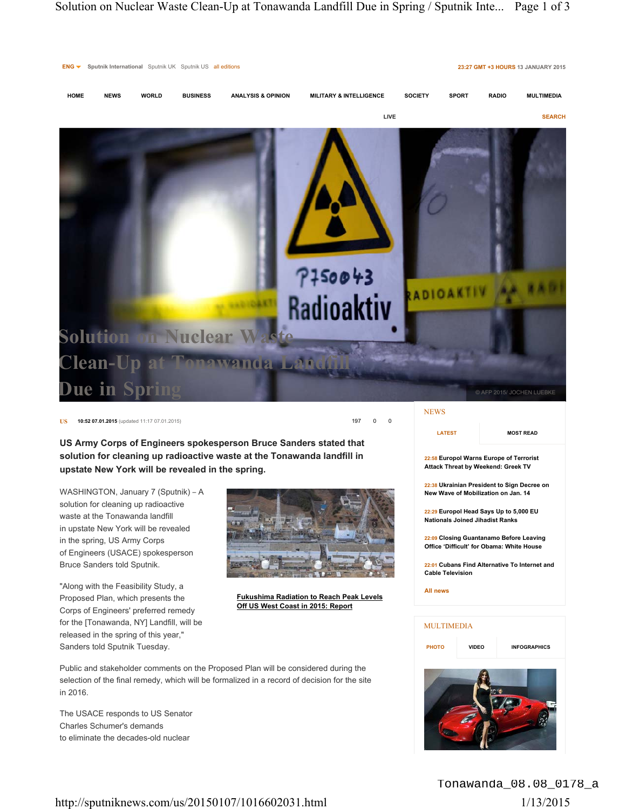

## **US 10:52 07.01.2015** (updated 11:17 07.01.2015) **197** 0 **0**

**US Army Corps of Engineers spokesperson Bruce Sanders stated that solution for cleaning up radioactive waste at the Tonawanda landfill in upstate New York will be revealed in the spring.**

WASHINGTON, January 7 (Sputnik) – A solution for cleaning up radioactive waste at the Tonawanda landfill in upstate New York will be revealed in the spring, US Army Corps of Engineers (USACE) spokesperson Bruce Sanders told Sputnik.

"Along with the Feasibility Study, a Proposed Plan, which presents the Corps of Engineers' preferred remedy for the [Tonawanda, NY] Landfill, will be released in the spring of this year," Sanders told Sputnik Tuesday.



**Fukushima Radiation to Reach Peak Levels Off US West Coast in 2015: Report**

Public and stakeholder comments on the Proposed Plan will be considered during the selection of the final remedy, which will be formalized in a record of decision for the site in 2016.

The USACE responds to US Senator Charles Schumer's demands to eliminate the decades-old nuclear

**LATEST**

## **MOST READ**

**22:58 Europol Warns Europe of Terrorist Attack Threat by Weekend: Greek TV**

**22:38 Ukrainian President to Sign Decree on New Wave of Mobilization on Jan. 14**

**22:29 Europol Head Says Up to 5,000 EU Nationals Joined Jihadist Ranks**

**22:09 Closing Guantanamo Before Leaving Office 'Difficult' for Obama: White House**

**22:01 Cubans Find Alternative To Internet and Cable Television**

**All news**

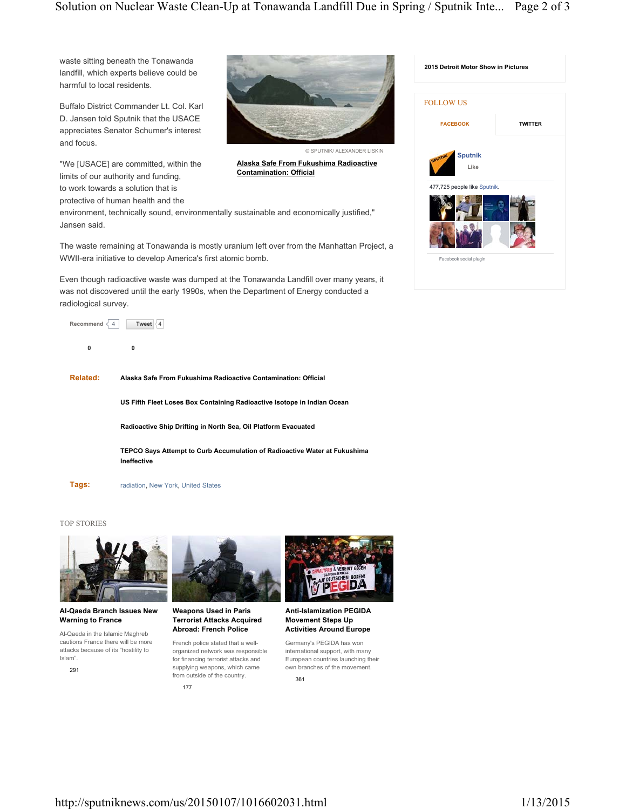**Alaska Safe From Fukushima Radioactive** 

**Contamination: Official**

© SPUTNIK/ ALEXANDER LISKIN

waste sitting beneath the Tonawanda landfill, which experts believe could be harmful to local residents.

Buffalo District Commander Lt. Col. Karl D. Jansen told Sputnik that the USACE appreciates Senator Schumer's interest and focus.

"We [USACE] are committed, within the limits of our authority and funding, to work towards a solution that is

protective of human health and the

environment, technically sound, environmentally sustainable and economically justified," Jansen said.

The waste remaining at Tonawanda is mostly uranium left over from the Manhattan Project, a WWII-era initiative to develop America's first atomic bomb.

Even though radioactive waste was dumped at the Tonawanda Landfill over many years, it was not discovered until the early 1990s, when the Department of Energy conducted a radiological survey.



**0 0**

**Related: Alaska Safe From Fukushima Radioactive Contamination: Official**

**US Fifth Fleet Loses Box Containing Radioactive Isotope in Indian Ocean**

**Radioactive Ship Drifting in North Sea, Oil Platform Evacuated**

**TEPCO Says Attempt to Curb Accumulation of Radioactive Water at Fukushima Ineffective**

**Tags:**

radiation, New York, United States

## TOP STORIES



**Al-Qaeda Branch Issues New Warning to France**

Al-Qaeda in the Islamic Maghreb cautions France there will be more attacks because of its "hostility to Islam".

291



**Weapons Used in Paris Terrorist Attacks Acquired Abroad: French Police**

French police stated that a wellorganized network was responsible for financing terrorist attacks and supplying weapons, which came from outside of the country. 177



international support, with many European countries launching their own branches of the movement. 361

D